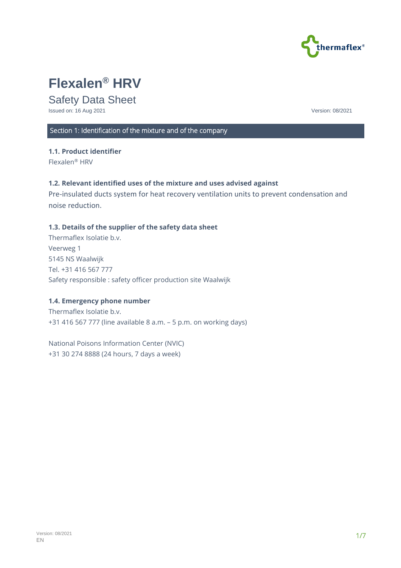

# **Flexalen® HRV**

# Safety Data Sheet

Issued on: 16 Aug 2021 Version: 08/2021

# Section 1: Identification of the mixture and of the company

## **1.1. Product identifier**

Flexalen® HRV

#### **1.2. Relevant identified uses of the mixture and uses advised against**

Pre-insulated ducts system for heat recovery ventilation units to prevent condensation and noise reduction.

## **1.3. Details of the supplier of the safety data sheet**

Thermaflex Isolatie b.v. Veerweg 1 5145 NS Waalwijk Tel. +31 416 567 777 Safety responsible : safety officer production site Waalwijk

#### **1.4. Emergency phone number**

Thermaflex Isolatie b.v. +31 416 567 777 (line available 8 a.m. – 5 p.m. on working days)

National Poisons Information Center (NVIC) +31 30 274 8888 (24 hours, 7 days a week)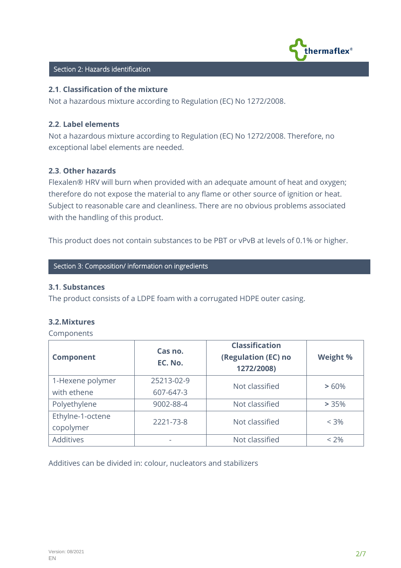

#### Section 2: Hazards identification

#### **2.1**. **Classification of the mixture**

Not a hazardous mixture according to Regulation (EC) No 1272/2008.

#### **2.2**. **Label elements**

Not a hazardous mixture according to Regulation (EC) No 1272/2008. Therefore, no exceptional label elements are needed.

#### **2.3**. **Other hazards**

Flexalen® HRV will burn when provided with an adequate amount of heat and oxygen; therefore do not expose the material to any flame or other source of ignition or heat. Subject to reasonable care and cleanliness. There are no obvious problems associated with the handling of this product.

This product does not contain substances to be PBT or vPvB at levels of 0.1% or higher.

**Section 3: Composition/ information on ingredients** 

#### **3.1**. **Substances**

The product consists of a LDPE foam with a corrugated HDPE outer casing.

#### **3.2.Mixtures**

Components

| <b>Component</b> | Cas no.<br>EC. No. | <b>Classification</b><br>(Regulation (EC) no<br>1272/2008) | <b>Weight %</b> |
|------------------|--------------------|------------------------------------------------------------|-----------------|
| 1-Hexene polymer | 25213-02-9         | Not classified                                             | >60%            |
| with ethene      | 607-647-3          |                                                            |                 |
| Polyethylene     | 9002-88-4          | Not classified                                             | > 35%           |
| Ethylne-1-octene | 2221-73-8          | Not classified                                             | $< 3\%$         |
| copolymer        |                    |                                                            |                 |
| Additives        |                    | Not classified                                             | $< 2\%$         |

Additives can be divided in: colour, nucleators and stabilizers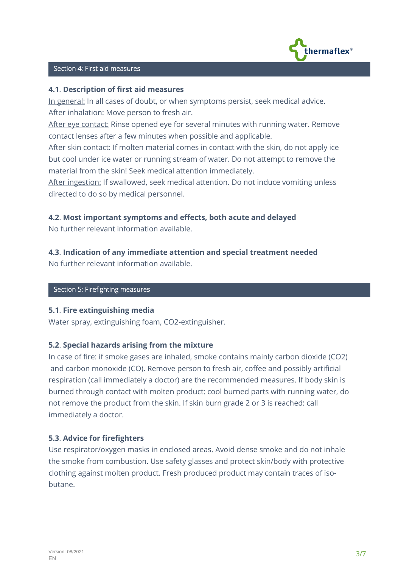

# **C** Section 4: First aid measures

## **4.1**. **Description of first aid measures**

In general: In all cases of doubt, or when symptoms persist, seek medical advice. After inhalation: Move person to fresh air.

After eye contact: Rinse opened eye for several minutes with running water. Remove contact lenses after a few minutes when possible and applicable.

After skin contact: If molten material comes in contact with the skin, do not apply ice but cool under ice water or running stream of water. Do not attempt to remove the material from the skin! Seek medical attention immediately.

After ingestion: If swallowed, seek medical attention. Do not induce vomiting unless directed to do so by medical personnel.

# **4.2**. **Most important symptoms and effects, both acute and delayed**

No further relevant information available.

# **4.3**. **Indication of any immediate attention and special treatment needed**

No further relevant information available.

# Section 5: Firefighting measures

#### **5.1**. **Fire extinguishing media**

Water spray, extinguishing foam, CO2-extinguisher.

# **5.2**. **Special hazards arising from the mixture**

In case of fire: if smoke gases are inhaled, smoke contains mainly carbon dioxide (CO2) and carbon monoxide (CO). Remove person to fresh air, coffee and possibly artificial respiration (call immediately a doctor) are the recommended measures. If body skin is burned through contact with molten product: cool burned parts with running water, do not remove the product from the skin. If skin burn grade 2 or 3 is reached: call immediately a doctor.

# **5.3**. **Advice for firefighters**

Use respirator/oxygen masks in enclosed areas. Avoid dense smoke and do not inhale the smoke from combustion. Use safety glasses and protect skin/body with protective clothing against molten product. Fresh produced product may contain traces of isobutane.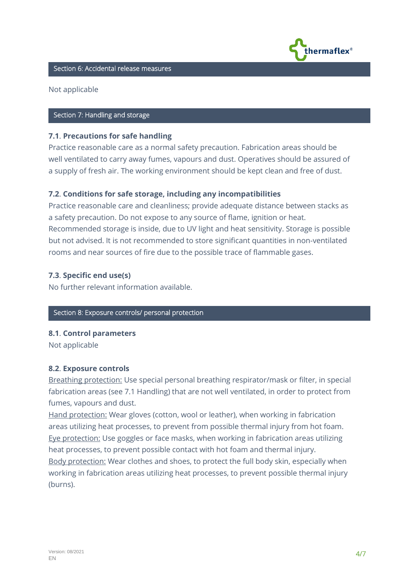

# **C** Section 6: Accidental release measures

Not applicable

# **Section 7: Handling and storage**

#### **7.1**. **Precautions for safe handling**

Practice reasonable care as a normal safety precaution. Fabrication areas should be well ventilated to carry away fumes, vapours and dust. Operatives should be assured of a supply of fresh air. The working environment should be kept clean and free of dust.

## **7.2**. **Conditions for safe storage, including any incompatibilities**

Practice reasonable care and cleanliness; provide adequate distance between stacks as a safety precaution. Do not expose to any source of flame, ignition or heat. Recommended storage is inside, due to UV light and heat sensitivity. Storage is possible but not advised. It is not recommended to store significant quantities in non-ventilated rooms and near sources of fire due to the possible trace of flammable gases.

#### **7.3**. **Specific end use(s)**

No further relevant information available.

#### Section 8: Exposure controls/ personal protection

#### **8.1**. **Control parameters**

Not applicable

#### **8.2**. **Exposure controls**

Breathing protection: Use special personal breathing respirator/mask or filter, in special fabrication areas (see 7.1 Handling) that are not well ventilated, in order to protect from fumes, vapours and dust.

Hand protection: Wear gloves (cotton, wool or leather), when working in fabrication areas utilizing heat processes, to prevent from possible thermal injury from hot foam. Eye protection: Use goggles or face masks, when working in fabrication areas utilizing heat processes, to prevent possible contact with hot foam and thermal injury. Body protection: Wear clothes and shoes, to protect the full body skin, especially when working in fabrication areas utilizing heat processes, to prevent possible thermal injury (burns).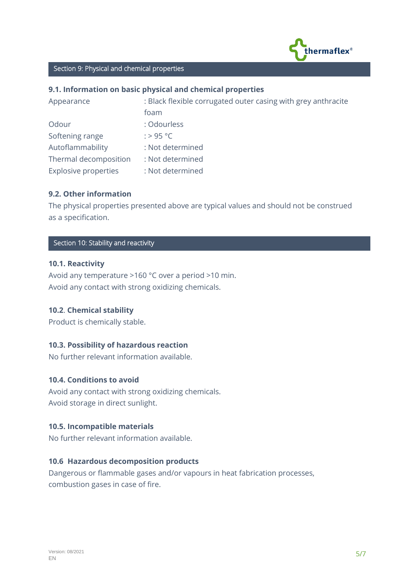

# **C** Section 9: Physical and chemical properties

# **9.1. Information on basic physical and chemical properties**

| Appearance                  | : Black flexible corrugated outer casing with grey anthracite |  |
|-----------------------------|---------------------------------------------------------------|--|
|                             | foam                                                          |  |
| Odour                       | : Odourless                                                   |  |
| Softening range             | : > 95 °C                                                     |  |
| Autoflammability            | : Not determined                                              |  |
| Thermal decomposition       | : Not determined                                              |  |
| <b>Explosive properties</b> | : Not determined                                              |  |

# **9.2. Other information**

The physical properties presented above are typical values and should not be construed as a specification.

# **Section 10: Stability and reactivity**

## **10.1. Reactivity**

Avoid any temperature >160 °C over a period >10 min. Avoid any contact with strong oxidizing chemicals.

#### **10.2**. **Chemical stability**

Product is chemically stable.

#### **10.3. Possibility of hazardous reaction**

No further relevant information available.

# **10.4. Conditions to avoid**

Avoid any contact with strong oxidizing chemicals. Avoid storage in direct sunlight.

# **10.5. Incompatible materials**

No further relevant information available.

#### **10.6 Hazardous decomposition products**

Dangerous or flammable gases and/or vapours in heat fabrication processes, combustion gases in case of fire.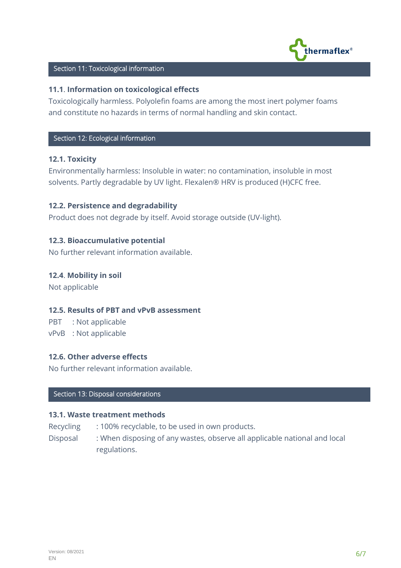

# **Section 11: Toxicological information**

## **11.1**. **Information on toxicological effects**

Toxicologically harmless. Polyolefin foams are among the most inert polymer foams and constitute no hazards in terms of normal handling and skin contact.

## Section 12: Ecological information

# **12.1. Toxicity**

Environmentally harmless: Insoluble in water: no contamination, insoluble in most solvents. Partly degradable by UV light. Flexalen® HRV is produced (H)CFC free.

## **12.2. Persistence and degradability**

Product does not degrade by itself. Avoid storage outside (UV-light).

## **12.3. Bioaccumulative potential**

No further relevant information available.

## **12.4**. **Mobility in soil**

Not applicable

#### **12.5. Results of PBT and vPvB assessment**

PBT : Not applicable vPvB : Not applicable

#### **12.6. Other adverse effects**

No further relevant information available.

# **Section 13: Disposal considerations**

#### **13.1. Waste treatment methods**

Recycling : 100% recyclable, to be used in own products.

Disposal : When disposing of any wastes, observe all applicable national and local regulations.